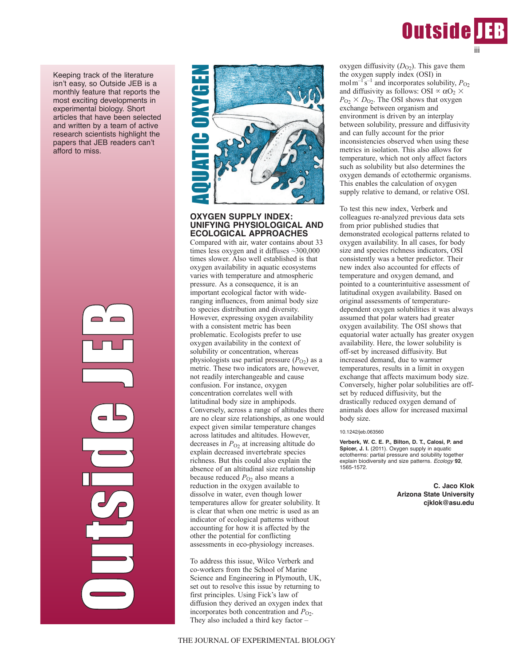

Keeping track of the literature isn't easy, so Outside JEB is a monthly feature that reports the most exciting developments in experimental biology. Short articles that have been selected and written by a team of active research scientists highlight the papers that JEB readers can't afford to miss.





### **OXYGEN SUPPLY INDEX: UNIFYING PHYSIOLOGICAL AND ECOLOGICAL APPROACHES**

Compared with air, water contains about 33 times less oxygen and it diffuses ~300,000 times slower. Also well established is that oxygen availability in aquatic ecosystems varies with temperature and atmospheric pressure. As a consequence, it is an important ecological factor with wideranging influences, from animal body size to species distribution and diversity. However, expressing oxygen availability with a consistent metric has been problematic. Ecologists prefer to use oxygen availability in the context of solubility or concentration, whereas physiologists use partial pressure  $(P<sub>O2</sub>)$  as a metric. These two indicators are, however, not readily interchangeable and cause confusion. For instance, oxygen concentration correlates well with latitudinal body size in amphipods. Conversely, across a range of altitudes there are no clear size relationships, as one would expect given similar temperature changes across latitudes and altitudes. However, decreases in  $P_{\text{O}2}$  at increasing altitude do explain decreased invertebrate species richness. But this could also explain the absence of an altitudinal size relationship because reduced  $P_{O2}$  also means a reduction in the oxygen available to dissolve in water, even though lower temperatures allow for greater solubility. It is clear that when one metric is used as an indicator of ecological patterns without accounting for how it is affected by the other the potential for conflicting assessments in eco-physiology increases. THE TRANSVILLED AND MANUTURE TO CONTROLL AND MANUTURE COLOCIDENT ECOLOCIDENT CONTROLL A Compared with air, water contains aboutines less oxygen availability in aquatic ecosystems with temperature and in diffuses - 300, oxy

To address this issue, Wilco Verberk and co-workers from the School of Marine Science and Engineering in Plymouth, UK, set out to resolve this issue by returning to first principles. Using Fick's law of diffusion they derived an oxygen index that incorporates both concentration and *P*<sub>O2</sub>.<br>They also included a third key factor –

oxygen diffusivity  $(D<sub>O2</sub>)$ . This gave them the oxygen supply index (OSI) in molm<sup>-1</sup> s<sup>-1</sup> and incorporates solubility,  $P_{\text{O}2}$ and diffusivity as follows: OSI  $\propto \alpha O_2 \times$  $P_{\text{O}2} \times D_{\text{O}2}$ . The OSI shows that oxygen exchange between organism and environment is driven by an interplay between solubility, pressure and diffusivity and can fully account for the prior inconsistencies observed when using these metrics in isolation. This also allows for temperature, which not only affect factors such as solubility but also determines the oxygen demands of ectothermic organisms. This enables the calculation of oxygen supply relative to demand, or relative OSI.

To test this new index, Verberk and colleagues re-analyzed previous data sets from prior published studies that demonstrated ecological patterns related to oxygen availability. In all cases, for body size and species richness indicators, OSI consistently was a better predictor. Their new index also accounted for effects of temperature and oxygen demand, and pointed to a counterintuitive assessment of latitudinal oxygen availability. Based on original assessments of temperaturedependent oxygen solubilities it was always assumed that polar waters had greater oxygen availability. The OSI shows that equatorial water actually has greater oxygen availability. Here, the lower solubility is off-set by increased diffusivity. But increased demand, due to warmer temperatures, results in a limit in oxygen exchange that affects maximum body size. Conversely, higher polar solubilities are offset by reduced diffusivity, but the drastically reduced oxygen demand of animals does allow for increased maximal body size.

### 10.1242/jeb.063560

**Verberk, W. C. E. P., Bilton, D. T., Calosi, P. and Spicer, J. I.** (2011). Oxygen supply in aquatic ectotherms: partial pressure and solubility together explain biodiversity and size patterns. *Ecology* **92**, 1565-1572.

> **C. Jaco Klok Arizona State University cjklok@asu.edu**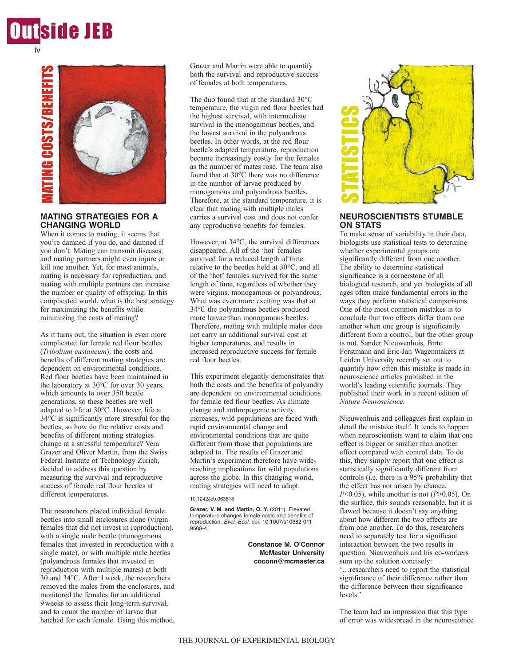

iv



# **MATING STRATEGIES FOR A CHANGING WORLD**

When it comes to mating, it seems that you're damned if you do, and damned if you don't. Mating can transmit diseases, and mating partners might even injure or kill one another. Yet, for most animals, mating is necessary for reproduction, and mating with multiple partners can increase the number or quality of offspring. In this complicated world, what is the best strategy for maximizing the benefits while minimizing the costs of mating?

As it turns out, the situation is even more complicated for female red flour beetles (*Tribolium castaneum*): the costs and benefits of different mating strategies are dependent on environmental conditions. Red flour beetles have been maintained in the laboratory at 30°C for over 30 years, which amounts to over 350 beetle generations, so these beetles are well adapted to life at 30°C. However, life at 34°C is significantly more stressful for the beetles, so how do the relative costs and benefits of different mating strategies change at a stressful temperature? Vera Grazer and Oliver Martin, from the Swiss Federal Institute of Technology Zurich, decided to address this question by measuring the survival and reproductive success of female red flour beetles at different temperatures.

The researchers placed individual female beetles into small enclosures alone (virgin females that did not invest in reproduction), with a single male beetle (monogamous females that invested in reproduction with a single mate), or with multiple male beetles (polyandrous females that invested in reproduction with multiple mates) at both 30 and 34°C. After 1week, the researchers removed the males from the enclosures, and monitored the females for an additional 9weeks to assess their long-term survival, and to count the number of larvae that hatched for each female. Using this method,

Grazer and Martin were able to quantify both the survival and reproductive success of females at both temperatures.

The duo found that at the standard 30°C temperature, the virgin red flour beetles had the highest survival, with intermediate survival in the monogamous beetles, and the lowest survival in the polyandrous beetles. In other words, at the red flour beetle's adapted temperature, reproduction became increasingly costly for the females as the number of mates rose. The team also found that at 30°C there was no difference in the number of larvae produced by monogamous and polyandrous beetles. Therefore, at the standard temperature, it is clear that mating with multiple males carries a survival cost and does not confer any reproductive benefits for females.

However, at 34°C, the survival differences disappeared. All of the 'hot' females survived for a reduced length of time relative to the beetles held at 30°C, and all of the 'hot' females survived for the same length of time, regardless of whether they were virgins, monogamous or polyandrous. What was even more exciting was that at 34°C the polyandrous beetles produced more larvae than monogamous beetles. Therefore, mating with multiple males does not carry an additional survival cost at higher temperatures, and results in increased reproductive success for female red flour beetles.

This experiment elegantly demonstrates that both the costs and the benefits of polyandry are dependent on environmental conditions for female red flour beetles. As climate change and anthropogenic activity increases, wild populations are faced with rapid environmental change and environmental conditions that are quite different from those that populations are adapted to. The results of Grazer and Martin's experiment therefore have widereaching implications for wild populations across the globe. In this changing world, mating strategies will need to adapt.

### 10.1242/jeb.063818

**Grazer, V. M. and Martin, O. Y.** (2011). Elevated temperature changes female costs and benefits of reproduction. *Evol. Ecol.* doi: 10.1007/s10682-011- 9508-4.

> **Constance M. O'Connor McMaster University coconn@mcmaster.ca**



# **NEUROSCIENTISTS STUMBLE ON STATS**

To make sense of variability in their data, biologists use statistical tests to determine whether experimental groups are significantly different from one another. The ability to determine statistical significance is a cornerstone of all biological research, and yet biologists of all ages often make fundamental errors in the ways they perform statistical comparisons. One of the most common mistakes is to conclude that two effects differ from one another when one group is significantly different from a control, but the other group is not. Sander Nieuwenhuis, Birte Forstmann and Eric-Jan Wagenmakers at Leiden University recently set out to quantify how often this mistake is made in neuroscience articles published in the world's leading scientific journals. They published their work in a recent edition of *Nature Neuroscience.*

Nieuwenhuis and colleagues first explain in detail the mistake itself. It tends to happen when neuroscientists want to claim that one effect is bigger or smaller than another effect compared with control data. To do this, they simply report that one effect is statistically significantly different from controls (i.e. there is a 95% probability that the effect has not arisen by chance, *P*<0.05), while another is not (*P*>0.05). On the surface, this sounds reasonable, but it is flawed because it doesn't say anything about how different the two effects are from one another. To do this, researchers need to separately test for a significant interaction between the two results in question. Nieuwenhuis and his co-workers sum up the solution concisely: '…researchers need to report the statistical significance of their difference rather than the difference between their significance levels.'

The team had an impression that this type of error was widespread in the neuroscience